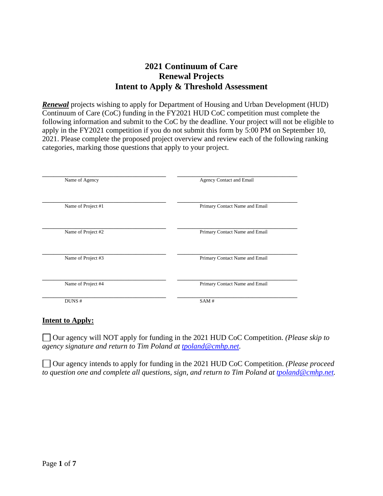# **2021 Continuum of Care Renewal Projects Intent to Apply & Threshold Assessment**

*Renewal* projects wishing to apply for Department of Housing and Urban Development (HUD) Continuum of Care (CoC) funding in the FY2021 HUD CoC competition must complete the following information and submit to the CoC by the deadline. Your project will not be eligible to apply in the FY2021 competition if you do not submit this form by 5:00 PM on September 10, 2021. Please complete the proposed project overview and review each of the following ranking categories, marking those questions that apply to your project.

| Name of Agency     | Agency Contact and Email       |
|--------------------|--------------------------------|
| Name of Project #1 | Primary Contact Name and Email |
| Name of Project #2 | Primary Contact Name and Email |
| Name of Project #3 | Primary Contact Name and Email |
| Name of Project #4 | Primary Contact Name and Email |
| DUNS#              | SAM#                           |

#### **Intent to Apply:**

Our agency will NOT apply for funding in the 2021 HUD CoC Competition. *(Please skip to agency signature and return to Tim Poland at [tpoland@cmhp.net.](mailto:tpoland@cmhp.net)*

Our agency intends to apply for funding in the 2021 HUD CoC Competition. *(Please proceed to question one and complete all questions, sign, and return to Tim Poland at [tpoland@cmhp.net.](mailto:tpoland@cmhp.net)*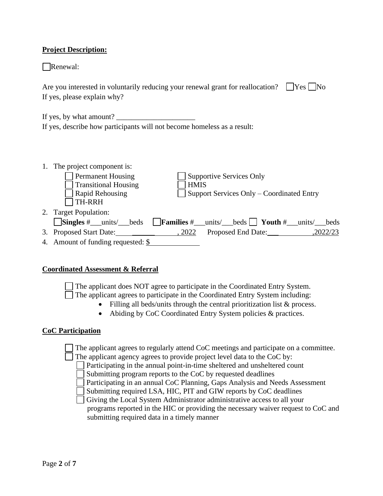# **Project Description:**

Renewal:

| Are you interested in voluntarily reducing your renewal grant for reallocation? $\Box$ Yes $\Box$ No |  |
|------------------------------------------------------------------------------------------------------|--|
| If yes, please explain why?                                                                          |  |

| If yes, by what amount? |                                                                         |  |
|-------------------------|-------------------------------------------------------------------------|--|
|                         | If yes, describe how participants will not become homeless as a result: |  |

| 1. The project component is:                         |             |                                                            |  |          |
|------------------------------------------------------|-------------|------------------------------------------------------------|--|----------|
| <b>Permanent Housing</b>                             |             | <b>Supportive Services Only</b>                            |  |          |
| <b>Transitional Housing</b>                          | <b>HMIS</b> |                                                            |  |          |
| Rapid Rehousing                                      |             | Support Services Only – Coordinated Entry                  |  |          |
| <b>TH-RRH</b>                                        |             |                                                            |  |          |
| 2. Target Population:                                |             |                                                            |  |          |
| $\frac{\text{Singles}\# \text{units}}{\text{units}}$ |             | <b>Families</b> # units/ beds   <b>Youth</b> # units/ beds |  |          |
| 3. Proposed Start Date:                              | , 2022      | Proposed End Date:                                         |  | ,2022/23 |
| 4. Amount of funding requested: \$                   |             |                                                            |  |          |

#### **Coordinated Assessment & Referral**

The applicant does NOT agree to participate in the Coordinated Entry System.  $\Box$  The applicant agrees to participate in the Coordinated Entry System including:

- Filling all beds/units through the central prioritization list & process.
- Abiding by CoC Coordinated Entry System policies & practices.

#### **CoC Participation**

The applicant agrees to regularly attend CoC meetings and participate on a committee.

The applicant agency agrees to provide project level data to the CoC by:

Participating in the annual point-in-time sheltered and unsheltered count

Submitting program reports to the CoC by requested deadlines

Participating in an annual CoC Planning, Gaps Analysis and Needs Assessment

Submitting required LSA, HIC, PIT and GIW reports by CoC deadlines

Giving the Local System Administrator administrative access to all your programs reported in the HIC or providing the necessary waiver request to CoC and submitting required data in a timely manner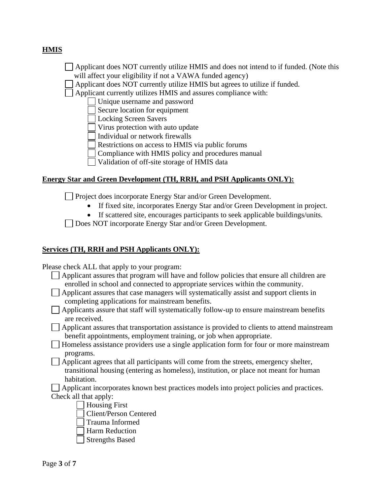# **HMIS**

- Applicant does NOT currently utilize HMIS and does not intend to if funded. (Note this will affect your eligibility if not a VAWA funded agency)
- Applicant does NOT currently utilize HMIS but agrees to utilize if funded.
- Applicant currently utilizes HMIS and assures compliance with:
	- Unique username and password
	- Secure location for equipment
	- Locking Screen Savers
	- Virus protection with auto update
	- Individual or network firewalls
	- Restrictions on access to HMIS via public forums
	- Compliance with HMIS policy and procedures manual
	- Validation of off-site storage of HMIS data

### **Energy Star and Green Development (TH, RRH, and PSH Applicants ONLY):**

**Project does incorporate Energy Star and/or Green Development.** 

- If fixed site, incorporates Energy Star and/or Green Development in project.
- If scattered site, encourages participants to seek applicable buildings/units.
- Does NOT incorporate Energy Star and/or Green Development.

### **Services (TH, RRH and PSH Applicants ONLY):**

Please check ALL that apply to your program:

- $\Box$  Applicant assures that program will have and follow policies that ensure all children are enrolled in school and connected to appropriate services within the community.
- Applicant assures that case managers will systematically assist and support clients in completing applications for mainstream benefits.
- $\Box$  Applicants assure that staff will systematically follow-up to ensure mainstream benefits are received.

Applicant assures that transportation assistance is provided to clients to attend mainstream benefit appointments, employment training, or job when appropriate.

- Homeless assistance providers use a single application form for four or more mainstream programs.
- Applicant agrees that all participants will come from the streets, emergency shelter, transitional housing (entering as homeless), institution, or place not meant for human habitation.
- Applicant incorporates known best practices models into project policies and practices. Check all that apply:
	- Housing First
	- Client/Person Centered
	- Trauma Informed
	- Harm Reduction
	- Strengths Based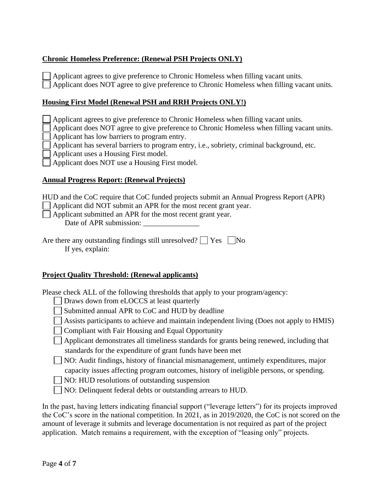# **Chronic Homeless Preference: (Renewal PSH Projects ONLY)**

 $\Box$  Applicant agrees to give preference to Chronic Homeless when filling vacant units. Applicant does NOT agree to give preference to Chronic Homeless when filling vacant units.

### **Housing First Model (Renewal PSH and RRH Projects ONLY!)**

Applicant agrees to give preference to Chronic Homeless when filling vacant units.

Applicant does NOT agree to give preference to Chronic Homeless when filling vacant units.

Applicant has low barriers to program entry.

Applicant has several barriers to program entry, i.e., sobriety, criminal background, etc.

Applicant uses a Housing First model.

Applicant does NOT use a Housing First model.

### **Annual Progress Report: (Renewal Projects)**

HUD and the CoC require that CoC funded projects submit an Annual Progress Report (APR)

Applicant did NOT submit an APR for the most recent grant year.

Applicant submitted an APR for the most recent grant year.

Date of APR submission:

| Are there any outstanding findings still unresolved? $\Box$ Yes $\Box$ No |  |
|---------------------------------------------------------------------------|--|
| If yes, explain:                                                          |  |

# **Project Quality Threshold: (Renewal applicants)**

Please check ALL of the following thresholds that apply to your program/agency:

- Draws down from eLOCCS at least quarterly
- Submitted annual APR to CoC and HUD by deadline
- $\Box$  Assists participants to achieve and maintain independent living (Does not apply to HMIS)
- **Compliant with Fair Housing and Equal Opportunity**
- Applicant demonstrates all timeliness standards for grants being renewed, including that standards for the expenditure of grant funds have been met

NO: Audit findings, history of financial mismanagement, untimely expenditures, major capacity issues affecting program outcomes, history of ineligible persons, or spending.

NO: HUD resolutions of outstanding suspension

NO: Delinquent federal debts or outstanding arrears to HUD.

In the past, having letters indicating financial support ("leverage letters") for its projects improved the CoC's score in the national competition. In 2021, as in 2019/2020, the CoC is not scored on the amount of leverage it submits and leverage documentation is not required as part of the project application. Match remains a requirement, with the exception of "leasing only" projects.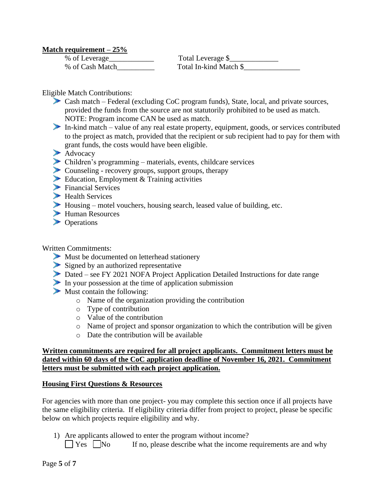### **Match requirement – 25%**

| % of Leverage   | Total Leverage \$      |
|-----------------|------------------------|
| % of Cash Match | Total In-kind Match \$ |

Eligible Match Contributions:

- Cash match Federal (excluding CoC program funds), State, local, and private sources, provided the funds from the source are not statutorily prohibited to be used as match. NOTE: Program income CAN be used as match.
- In-kind match value of any real estate property, equipment, goods, or services contributed to the project as match, provided that the recipient or sub recipient had to pay for them with grant funds, the costs would have been eligible.
- Advocacy
- Children's programming materials, events, childcare services
- Counseling recovery groups, support groups, therapy
- Education, Employment & Training activities
- Financial Services
- Health Services
- Housing motel vouchers, housing search, leased value of building, etc.
- Human Resources
- **Departions**

Written Commitments:

- Must be documented on letterhead stationery
- Signed by an authorized representative
- Dated see FY 2021 NOFA Project Application Detailed Instructions for date range
- In your possession at the time of application submission
- $\blacktriangleright$  Must contain the following:
	- o Name of the organization providing the contribution
	- o Type of contribution
	- o Value of the contribution
	- o Name of project and sponsor organization to which the contribution will be given
	- o Date the contribution will be available

### **Written commitments are required for all project applicants. Commitment letters must be dated within 60 days of the CoC application deadline of November 16, 2021. Commitment letters must be submitted with each project application.**

#### **Housing First Questions & Resources**

For agencies with more than one project- you may complete this section once if all projects have the same eligibility criteria. If eligibility criteria differ from project to project, please be specific below on which projects require eligibility and why.

1) Are applicants allowed to enter the program without income?

 $\Box$  Yes  $\Box$  No If no, please describe what the income requirements are and why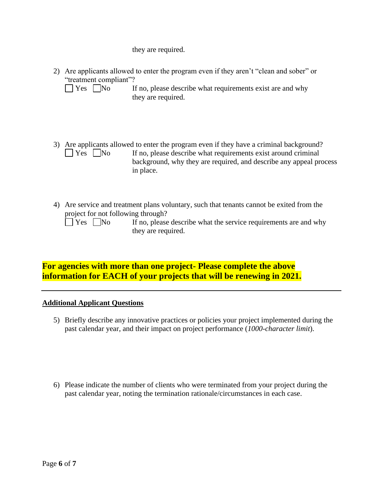they are required.

| 2) Are applicants allowed to enter the program even if they aren't "clean and sober" or |  |
|-----------------------------------------------------------------------------------------|--|
| "treatment compliant"?                                                                  |  |

- 3) Are applicants allowed to enter the program even if they have a criminal background?  $\Box$  Yes  $\Box$  No If no, please describe what requirements exist around criminal background, why they are required, and describe any appeal process in place.
- 4) Are service and treatment plans voluntary, such that tenants cannot be exited from the project for not following through?

| $\sim$<br><b>r</b> |  | INo |  |  |
|--------------------|--|-----|--|--|
|                    |  |     |  |  |

If no, please describe what the service requirements are and why they are required.

**For agencies with more than one project- Please complete the above information for EACH of your projects that will be renewing in 2021.** 

# **Additional Applicant Questions**

- 5) Briefly describe any innovative practices or policies your project implemented during the past calendar year, and their impact on project performance (*1000-character limit*).
- 6) Please indicate the number of clients who were terminated from your project during the past calendar year, noting the termination rationale/circumstances in each case.

 $\Box$  Yes  $\Box$  No If no, please describe what requirements exist are and why they are required.